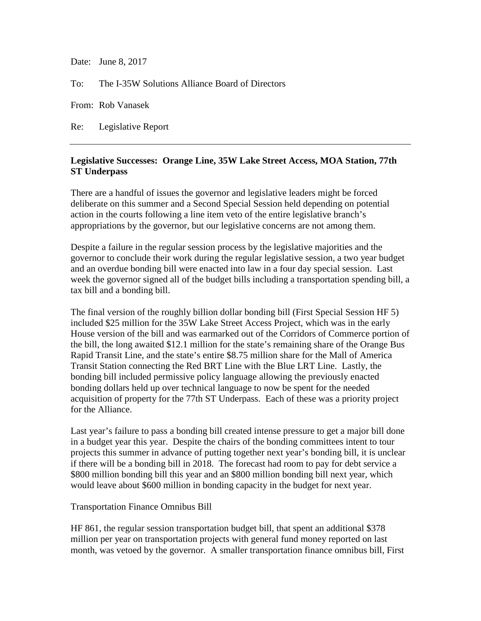Date: June 8, 2017

To: The I-35W Solutions Alliance Board of Directors

From: Rob Vanasek

Re: Legislative Report

## **Legislative Successes: Orange Line, 35W Lake Street Access, MOA Station, 77th ST Underpass**

There are a handful of issues the governor and legislative leaders might be forced deliberate on this summer and a Second Special Session held depending on potential action in the courts following a line item veto of the entire legislative branch's appropriations by the governor, but our legislative concerns are not among them.

Despite a failure in the regular session process by the legislative majorities and the governor to conclude their work during the regular legislative session, a two year budget and an overdue bonding bill were enacted into law in a four day special session. Last week the governor signed all of the budget bills including a transportation spending bill, a tax bill and a bonding bill.

The final version of the roughly billion dollar bonding bill (First Special Session HF 5) included \$25 million for the 35W Lake Street Access Project, which was in the early House version of the bill and was earmarked out of the Corridors of Commerce portion of the bill, the long awaited \$12.1 million for the state's remaining share of the Orange Bus Rapid Transit Line, and the state's entire \$8.75 million share for the Mall of America Transit Station connecting the Red BRT Line with the Blue LRT Line. Lastly, the bonding bill included permissive policy language allowing the previously enacted bonding dollars held up over technical language to now be spent for the needed acquisition of property for the 77th ST Underpass. Each of these was a priority project for the Alliance.

Last year's failure to pass a bonding bill created intense pressure to get a major bill done in a budget year this year. Despite the chairs of the bonding committees intent to tour projects this summer in advance of putting together next year's bonding bill, it is unclear if there will be a bonding bill in 2018. The forecast had room to pay for debt service a \$800 million bonding bill this year and an \$800 million bonding bill next year, which would leave about \$600 million in bonding capacity in the budget for next year.

## Transportation Finance Omnibus Bill

HF 861, the regular session transportation budget bill, that spent an additional \$378 million per year on transportation projects with general fund money reported on last month, was vetoed by the governor. A smaller transportation finance omnibus bill, First